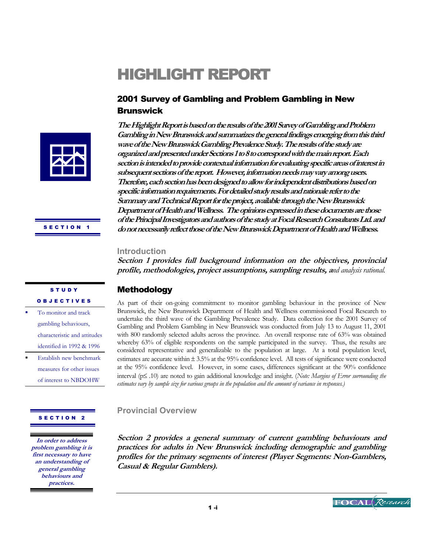# HIGHLIGHT REPORT

# 2001 Survey of Gambling and Problem Gambling in New Brunswick



**Gambling in New Brunswick and summarizes the general findings emerging from this third wave of the New Brunswick Gambling Prevalence Study. The results of the study are organized and presented under Sections 1 to 8 to correspond with the main report. Each section is intended to provide contextual information for evaluating specific areas of interest in subsequent sections of the report. However, information needs may vary among users. Therefore, each section has been designed to allow for independent distributions based on specific information requirements. For detailed study results and rationale refer to the Summary and Technical Report for the project, available through the New Brunswick Department of Health and Wellness. The opinions expressed in these documents are those of the Principal Investigators and authors of the study at Focal Research Consultants Ltd. and do not necessarily reflect those of the New Brunswick Department of Health and Wellness.** 

**The Highlight Report is based on the results of the 2001 Survey of Gambling and Problem** 

#### **Introduction**

**Section 1 provides full background information on the objectives, provincial profile, methodologies, project assumptions, sampling results, a***nd analysis rational.* 

# Methodology

As part of their on-going commitment to monitor gambling behaviour in the province of New Brunswick, the New Brunswick Department of Health and Wellness commissioned Focal Research to undertake the third wave of the Gambling Prevalence Study. Data collection for the 2001 Survey of Gambling and Problem Gambling in New Brunswick was conducted from July 13 to August 11, 2001 with 800 randomly selected adults across the province. An overall response rate of 63% was obtained whereby 63% of eligible respondents on the sample participated in the survey. Thus, the results are considered representative and generalizable to the population at large. At a total population level, estimates are accurate within ± 3.5% at the 95% confidence level. All tests of significance were conducted at the 95% confidence level. However, in some cases, differences significant at the 90% confidence interval (p≤ .10) are noted to gain additional knowledge and insight. (*Note: Margins of Error surrounding the estimates vary by sample size for various groups in the population and the amount of variance in responses.)* 

### **Provincial Overview**

**Section 2 provides a general summary of current gambling behaviours and practices for adults in New Brunswick including demographic and gambling profiles for the primary segments of interest (Player Segments: Non-Gamblers, Casual & Regular Gamblers).** 

SECTION<sub>1</sub>

#### **STUDY OBJECTIVES**

- To monitor and track gambling behaviours, characteristic and attitudes identified in 1992 & 1996
- Establish new benchmark measures for other issues of interest to NBDOHW

#### SECTION 2

**In order to address problem gambling it is first necessary to have an understanding of general gambling behaviours and practices.** 

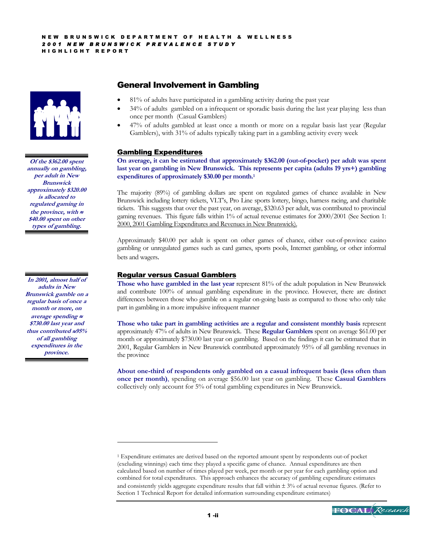

**Of the \$362.00 spent annually on gambling, per adult in New Brunswick approximately \$320.00 is allocated to regulated gaming in the province, with** <sup>≈</sup> **\$40.00 spent on other types of gambling.** 

**In 2001, almost half of adults in New Brunswick gamble on a regular basis of once a month or more, on average spending** <sup>≈</sup> **\$730.00 last year and thus contributed** ≈**95% of all gambling expenditures in the province.** 

 $\overline{a}$ 

# General Involvement in Gambling

- 81% of adults have participated in a gambling activity during the past year
- 34% of adults gambled on a infrequent or sporadic basis during the last year playing less than once per month (Casual Gamblers)
- 47% of adults gambled at least once a month or more on a regular basis last year (Regular Gamblers), with 31% of adults typically taking part in a gambling activity every week

#### Gambling Expenditures

**On average, it can be estimated that approximately \$362.00 (out-of-pocket) per adult was spent last year on gambling in New Brunswick. This represents per capita (adults 19 yrs+) gambling expenditures of approximately \$30.00 per month.1** 

The majority (89%) of gambling dollars are spent on regulated games of chance available in New Brunswick including lottery tickets, VLT's, Pro Line sports lottery, bingo, harness racing, and charitable tickets. This suggests that over the past year, on average, \$320.63 per adult, was contributed to provincial gaming revenues. This figure falls within 1% of actual revenue estimates for 2000/2001 (See Section 1: 2000, 2001 Gambling Expenditures and Revenues in New Brunswick).

Approximately \$40.00 per adult is spent on other games of chance, either out-of-province casino gambling or unregulated games such as card games, sports pools, Internet gambling, or other informal bets and wagers.

#### Regular versus Casual Gamblers

**Those who have gambled in the last year** represent 81% of the adult population in New Brunswick and contribute 100% of annual gambling expenditure in the province. However, there are distinct differences between those who gamble on a regular on-going basis as compared to those who only take part in gambling in a more impulsive infrequent manner

**Those who take part in gambling activities are a regular and consistent monthly basis** represent approximately 47% of adults in New Brunswick. These **Regular Gamblers** spent on average \$61.00 per month or approximately \$730.00 last year on gambling. Based on the findings it can be estimated that in 2001, Regular Gamblers in New Brunswick contributed approximately 95% of all gambling revenues in the province

**About one-third of respondents only gambled on a casual infrequent basis (less often than once per month)**, spending on average \$56.00 last year on gambling. These **Casual Gamblers** collectively only account for 5% of total gambling expenditures in New Brunswick.

<sup>1</sup> Expenditure estimates are derived based on the reported amount spent by respondents out-of pocket (excluding winnings) each time they played a specific game of chance. Annual expenditures are then calculated based on number of times played per week, per month or per year for each gambling option and combined for total expenditures. This approach enhances the accuracy of gambling expenditure estimates and consistently yields aggregate expenditure results that fall within  $\pm 3\%$  of actual revenue figures. (Refer to Section 1 Technical Report for detailed information surrounding expenditure estimates)

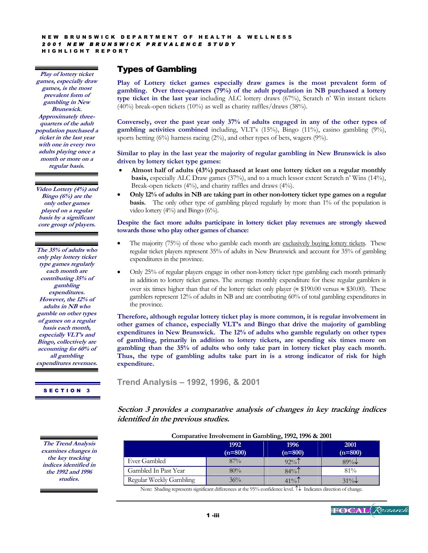**Play of lottery ticket games, especially draw games, is the most prevalent form of gambling in New Brunswick. Approximately threequarters of the adult population purchased a ticket in the last year with one in every two adults playing once a month or more on a regular basis.** 

**Video Lottery (4%) and Bingo (6%) are the only other games played on a regular basis by a significant core group of players.** 

**The 35% of adults who only play lottery ticket type games regularly each month are contributing 35% of gambling expenditures. However, the 12% of adults in NB who gamble on other types of games on a regular basis each month, especially VLT's and Bingo, collectively are accounting for 60% of all gambling expenditures revenues.** 

SECTION 3

**The Trend Analysis** 

# Types of Gambling

**Play of Lottery ticket games especially draw games is the most prevalent form of gambling. Over three-quarters (79%) of the adult population in NB purchased a lottery type ticket in the last year** including ALC lottery draws (67%), Scratch n' Win instant tickets (40%) break-open tickets (10%) as well as charity raffles/draws (38%).

**Conversely, over the past year only 37% of adults engaged in any of the other types of gambling activities combined** including, VLT's (15%), Bingo (11%), casino gambling (9%), sports betting (6%) harness racing (2%), and other types of bets, wagers (9%).

#### **Similar to play in the last year the majority of regular gambling in New Brunswick is also driven by lottery ticket type games:**

- **Almost half of adults (43%) purchased at least one lottery ticket on a regular monthly basis,** especially ALC Draw games (37%), and to a much lessor extent Scratch n' Wins (14%), Break-open tickets (4%), and charity raffles and draws (4%).
- **Only 12% of adults in NB are taking part in other non-lottery ticket type games on a regular basis.** The only other type of gambling played regularly by more than 1% of the population is video lottery (4%) and Bingo (6%).

#### **Despite the fact more adults participate in lottery ticket play revenues are strongly skewed towards those who play other games of chance:**

- The majority (75%) of those who gamble each month are exclusively buying lottery tickets. These regular ticket players represent 35% of adults in New Brunswick and account for 35% of gambling expenditures in the province.
- Only 25% of regular players engage in other non-lottery ticket type gambling each month primarily in addition to lottery ticket games. The average monthly expenditure for these regular gamblers is over six times higher than that of the lottery ticket only player ( $\approx$  \$190.00 versus  $\approx$  \$30.00). These gamblers represent 12% of adults in NB and are contributing 60% of total gambling expenditures in the province.

**Therefore, although regular lottery ticket play is more common, it is regular involvement in other games of chance, especially VLT's and Bingo that drive the majority of gambling expenditures in New Brunswick. The 12% of adults who gamble regularly on other types of gambling, primarily in addition to lottery tickets, are spending six times more on gambling than the 35% of adults who only take part in lottery ticket play each month. Thus, the type of gambling adults take part in is a strong indicator of risk for high expenditure.** 

**Trend Analysis – 1992, 1996, & 2001** 

## **Section 3 provides a comparative analysis of changes in key tracking indices identified in the previous studies.**

| Comparative involvement in Gambling, 1992, 1990 & 2001 |                   |                   |                   |
|--------------------------------------------------------|-------------------|-------------------|-------------------|
|                                                        | 1992<br>$(n=800)$ | 1996<br>$(n=800)$ | 2001<br>$(n=800)$ |
| Ever Gambled                                           | $87\%$            | $92\%$            | $89\%$            |
| Gambled In Past Year                                   | 80%               | $84\%$            | $81\%$            |
| Regular Weekly Gambling                                | $36\%$            | $41\%$            | $31\%$            |

**Comparative Involvement in Gambling, 1992, 1996 & 2001** 

Note: Shading represents significant differences at the 95% confidence level. ↑↓ Indicates direction of change.



1 -iii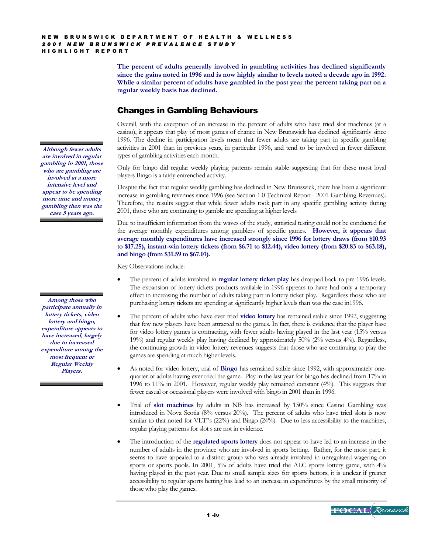**The percent of adults generally involved in gambling activities has declined significantly since the gains noted in 1996 and is now highly similar to levels noted a decade ago in 1992. While a similar percent of adults have gambled in the past year the percent taking part on a regular weekly basis has declined.** 

# Changes in Gambling Behaviours

Overall, with the exception of an increase in the percent of adults who have tried slot machines (at a casino), it appears that play of most games of chance in New Brunswick has declined significantly since 1996. The decline in participation levels mean that fewer adults are taking part in specific gambling activities in 2001 than in previous years, in particular 1996, and tend to be involved in fewer different types of gambling activities each month.

Only for bingo did regular weekly playing patterns remain stable suggesting that for these most loyal players Bingo is a fairly entrenched activity.

Despite the fact that regular weekly gambling has declined in New Brunswick, there has been a significant increase in gambling revenues since 1996 (see Section 1.0 Technical Report– 2001 Gambling Revenues). Therefore, the results suggest that while fewer adults took part in any specific gambling activity during 2001, those who are continuing to gamble are spending at higher levels

Due to insufficient information from the waves of the study, statistical testing could not be conducted for the average monthly expenditures among gamblers of specific games. **However, it appears that average monthly expenditures have increased strongly since 1996 for lottery draws (from \$10.93 to \$17.25), instant-win lottery tickets (from \$6.71 to \$12.44), video lottery (from \$20.83 to \$63.18), and bingo (from \$31.59 to \$67.01).** 

Key Observations include:

- The percent of adults involved in **regular lottery ticket play** has dropped back to pre 1996 levels. The expansion of lottery tickets products available in 1996 appears to have had only a temporary effect in increasing the number of adults taking part in lottery ticket play. Regardless those who are purchasing lottery tickets are spending at significantly higher levels than was the case in1996.
- The percent of adults who have ever tried **video lottery** has remained stable since 1992, suggesting that few new players have been attracted to the games. In fact, there is evidence that the player base for video lottery games is contracting, with fewer adults having played in the last year (15% versus 19%) and regular weekly play having declined by approximately 50% (2% versus 4%). Regardless, the continuing growth in video lottery revenues suggests that those who are continuing to play the games are spending at much higher levels.
- As noted for video lottery, trial of **Bingo** has remained stable since 1992, with approximately onequarter of adults having ever tried the game. Play in the last year for bingo has declined from 17% in 1996 to 11% in 2001. However, regular weekly play remained constant (4%). This suggests that fewer casual or occasional players were involved with bingo in 2001 than in 1996.
- Trial of **slot machines** by adults in NB has increased by 150% since Casino Gambling was introduced in Nova Scotia (8% versus 20%). The percent of adults who have tried slots is now similar to that noted for VLT"s (22%) and Bingo (24%). Due to less accessibility to the machines, regular playing patterns for slot s are not in evidence.
- The introduction of the **regulated sports lottery** does not appear to have led to an increase in the number of adults in the province who are involved in sports betting. Rather, for the most part, it seems to have appealed to a distinct group who was already involved in unregulated wagering on sports or sports pools. In 2001, 5% of adults have tried the ALC sports lottery game, with 4% having played in the past year. Due to small sample sizes for sports bettors, it is unclear if greater accessibility to regular sports betting has lead to an increase in expenditures by the small minority of those who play the games.

**Although fewer adults are involved in regular gambling in 2001, those who are gambling are involved at a more intensive level and appear to be spending more time and money gambling then was the case 5 years ago.** 

**Among those who participate annually in lottery tickets, video lottery and bingo, expenditure appears to have increased, largely due to increased expenditure among the most frequent or Regular Weekly Players.** 

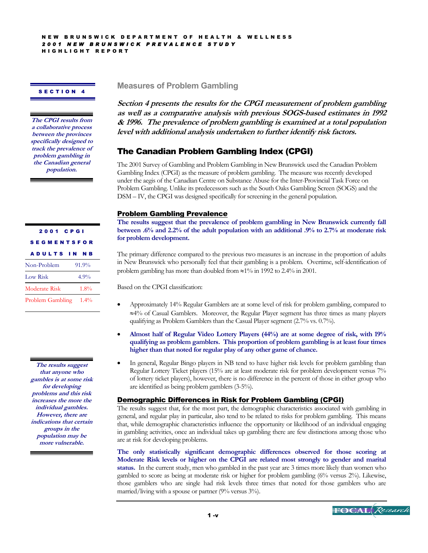#### SECTION 4

**The CPGI results from a collaborative process between the provinces specifically designed to track the prevalence of problem gambling in the Canadian general population.** 

| 2001 CPGI             |       |  |  |
|-----------------------|-------|--|--|
| <b>SEGMENTSFOR</b>    |       |  |  |
| <b>ADULTS IN NB</b>   |       |  |  |
| Non-Problem           | 91.9% |  |  |
| Low Risk              | 4.9%  |  |  |
| Moderate Risk         | 1.8%  |  |  |
| Problem Gambling 1.4% |       |  |  |

**The results suggest that anyone who gambles is at some risk for developing problems and this risk increases the more the individual gambles. However, there are indications that certain groups in the population may be more vulnerable.** 

**Measures of Problem Gambling** 

**Section 4 presents the results for the CPGI measurement of problem gambling as well as a comparative analysis with previous SOGS-based estimates in 1992 & 1996. The prevalence of problem gambling is examined at a total population level with additional analysis undertaken to further identify risk factors.** 

# The Canadian Problem Gambling Index (CPGI)

The 2001 Survey of Gambling and Problem Gambling in New Brunswick used the Canadian Problem Gambling Index (CPGI) as the measure of problem gambling. The measure was recently developed under the aegis of the Canadian Centre on Substance Abuse for the Inter-Provincial Task Force on Problem Gambling. Unlike its predecessors such as the South Oaks Gambling Screen (SOGS) and the DSM – IV, the CPGI was designed specifically for screening in the general population.

#### Problem Gambling Prevalence

**The results suggest that the prevalence of problem gambling in New Brunswick currently fall between .6% and 2.2% of the adult population with an additional .9% to 2.7% at moderate risk for problem development.** 

The primary difference compared to the previous two measures is an increase in the proportion of adults in New Brunswick who personally feel that their gambling is a problem. Overtime, self-identification of problem gambling has more than doubled from ≈1% in 1992 to 2.4% in 2001.

Based on the CPGI classification:

- Approximately 14% Regular Gamblers are at some level of risk for problem gambling, compared to ≈4% of Casual Gamblers. Moreover, the Regular Player segment has three times as many players qualifying as Problem Gamblers than the Casual Player segment (2.7% vs. 0.7%).
- **Almost half of Regular Video Lottery Players (44%) are at some degree of risk, with 19% qualifying as problem gamblers. This proportion of problem gambling is at least four times higher than that noted for regular play of any other game of chance.**
- In general, Regular Bingo players in NB tend to have higher risk levels for problem gambling than Regular Lottery Ticket players (15% are at least moderate risk for problem development versus 7% of lottery ticket players), however, there is no difference in the percent of those in either group who are identified as being problem gamblers (3-5%).

#### Demographic Differences in Risk for Problem Gambling (CPGI)

The results suggest that, for the most part, the demographic characteristics associated with gambling in general, and regular play in particular, also tend to be related to risks for problem gambling. This means that, while demographic characteristics influence the opportunity or likelihood of an individual engaging in gambling activities, once an individual takes up gambling there are few distinctions among those who are at risk for developing problems.

**The only statistically significant demographic differences observed for those scoring at Moderate Risk levels or higher on the CPGI are related most strongly to gender and marital status.** In the current study, men who gambled in the past year are 3 times more likely than women who gambled to score as being at moderate risk or higher for problem gambling (6% versus 2%). Likewise, those gamblers who are single had risk levels three times that noted for those gamblers who are married/living with a spouse or partner (9% versus 3%).

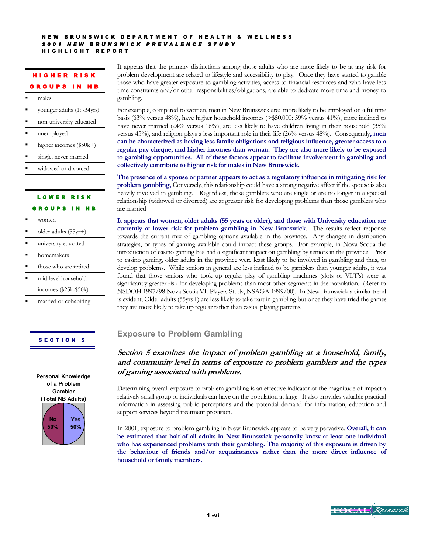#### HIGHER RISK GROUPS IN NB

#### males

- younger adults (19-34yrs)
- non-university educated
- unemployed
- higher incomes (\$50k+)
- single, never married
- widowed or divorced

# LOWER RISK GROUPS IN NB

| women                  |
|------------------------|
| older adults $(55yr+)$ |
| university educated    |
| homemakers             |
| those who are retired  |
| mid level household    |
| incomes (\$25k-\$50k)  |
| married or cohabiting  |
|                        |

### SECTION 5



It appears that the primary distinctions among those adults who are more likely to be at any risk for problem development are related to lifestyle and accessibility to play. Once they have started to gamble those who have greater exposure to gambling activities, access to financial resources and who have less time constraints and/or other responsibilities/obligations, are able to dedicate more time and money to gambling.

For example, compared to women, men in New Brunswick are: more likely to be employed on a fulltime basis (63% versus 48%), have higher household incomes (>\$50,000: 59% versus 41%), more inclined to have never married (24% versus 16%), are less likely to have children living in their household (35% versus 45%), and religion plays a less important role in their life (26% versus 48%). Consequently**, men can be characterized as having less family obligations and religious influence, greater access to a regular pay cheque, and higher incomes than woman. They are also more likely to be exposed to gambling opportunities. All of these factors appear to facilitate involvement in gambling and collectively contribute to higher risk for males in New Brunswick.** 

**The presence of a spouse or partner appears to act as a regulatory influence in mitigating risk for problem gambling,** Conversely, this relationship could have a strong negative affect if the spouse is also heavily involved in gambling. Regardless, those gamblers who are single or are no longer in a spousal relationship (widowed or divorced) are at greater risk for developing problems than those gamblers who are married

**It appears that women, older adults (55 years or older), and those with University education are currently at lower risk for problem gambling in New Brunswick**. The results reflect response towards the current mix of gambling options available in the province. Any changes in distribution strategies, or types of gaming available could impact these groups. For example, in Nova Scotia the introduction of casino gaming has had a significant impact on gambling by seniors in the province. Prior to casino gaming, older adults in the province were least likely to be involved in gambling and thus, to develop problems. While seniors in general are less inclined to be gamblers than younger adults, it was found that those seniors who took up regular play of gambling machines (slots or VLT's) were at significantly greater risk for developing problems than most other segments in the population. (Refer to NSDOH 1997/98 Nova Scotia VL Players Study, NSAGA 1999/00). In New Brunswick a similar trend is evident; Older adults (55yrs+) are less likely to take part in gambling but once they have tried the games they are more likely to take up regular rather than casual playing patterns.

# **Exposure to Problem Gambling**

**Section 5 examines the impact of problem gambling at a household, family, and community level in terms of exposure to problem gamblers and the types of gaming associated with problems.** 

Determining overall exposure to problem gambling is an effective indicator of the magnitude of impact a relatively small group of individuals can have on the population at large. It also provides valuable practical information in assessing public perceptions and the potential demand for information, education and support services beyond treatment provision.

In 2001, exposure to problem gambling in New Brunswick appears to be very pervasive. **Overall, it can be estimated that half of all adults in New Brunswick personally know at least one individual who has experienced problems with their gambling. The majority of this exposure is driven by the behaviour of friends and/or acquaintances rather than the more direct influence of household or family members.** 

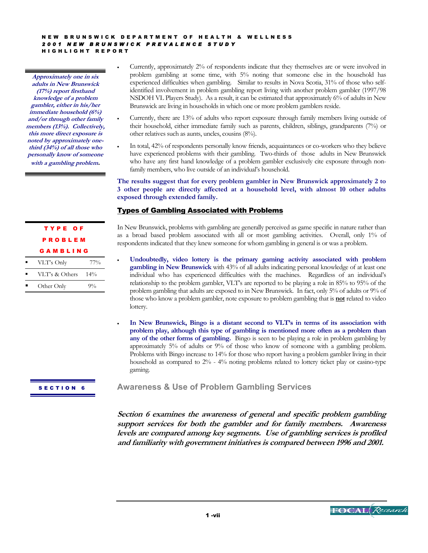**Approximately one in six adults in New Brunswick (17%) report firsthand knowledge of a problem gambler, either in his/her immediate household (6%) and/or through other family members (13%). Collectively, this more direct exposure is noted by approximately onethird (34%) of all those who personally know of someone with a gambling problem.** 

> TYPE OF PROBLEM GAMBLING VLT's Only 77% VLT's & Others 14% Other Only 9%

- Currently, approximately 2% of respondents indicate that they themselves are or were involved in problem gambling at some time, with 5% noting that someone else in the household has experienced difficulties when gambling. Similar to results in Nova Scotia, 31% of those who selfidentified involvement in problem gambling report living with another problem gambler (1997/98 NSDOH VL Players Study). As a result, it can be estimated that approximately 6% of adults in New Brunswick are living in households in which one or more problem gamblers reside.
- Currently, there are 13% of adults who report exposure through family members living outside of their household, either immediate family such as parents, children, siblings, grandparents (7%) or other relatives such as aunts, uncles, cousins (8%).
- In total, 42% of respondents personally know friends, acquaintances or co-workers who they believe have experienced problems with their gambling. Two-thirds of those adults in New Brunswick who have any first hand knowledge of a problem gambler exclusively cite exposure through nonfamily members, who live outside of an individual's household.

#### **The results suggest that for every problem gambler in New Brunswick approximately 2 to 3 other people are directly affected at a household level, with almost 10 other adults exposed through extended family.**

### Types of Gambling Associated with Problems

In New Brunswick, problems with gambling are generally perceived as game specific in nature rather than as a broad based problem associated with all or most gambling activities. Overall, only 1% of respondents indicated that they knew someone for whom gambling in general is or was a problem.

- **Undoubtedly, video lottery is the primary gaming activity associated with problem gambling in New Brunswick** with 43% of all adults indicating personal knowledge of at least one individual who has experienced difficulties with the machines. Regardless of an individual's relationship to the problem gambler, VLT's are reported to be playing a role in 85% to 95% of the problem gambling that adults are exposed to in New Brunswick. In fact, only 5% of adults or 9% of those who know a problem gambler, note exposure to problem gambling that is **not** related to video lottery.
- **In New Brunswick, Bingo is a distant second to VLT's in terms of its association with problem play, although this type of gambling is mentioned more often as a problem than any of the other forms of gambling.** Bingo is seen to be playing a role in problem gambling by approximately 5% of adults or 9% of those who know of someone with a gambling problem. Problems with Bingo increase to 14% for those who report having a problem gambler living in their household as compared to 2% - 4% noting problems related to lottery ticket play or casino-type gaming.

SECTION 6

**Awareness & Use of Problem Gambling Services**

**Section 6 examines the awareness of general and specific problem gambling support services for both the gambler and for family members. Awareness levels are compared among key segments. Use of gambling services is profiled and familiarity with government initiatives is compared between 1996 and 2001.** 

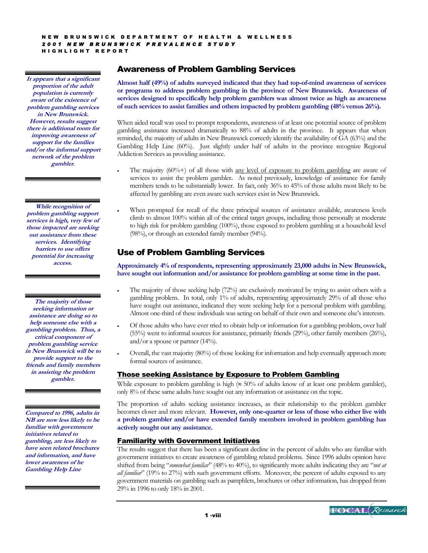**It appears that a significant proportion of the adult population is currently aware of the existence of problem gambling services in New Brunswick. However, results suggest there is additional room for improving awareness of support for the families and/or the informal support network of the problem gambler.** 

**While recognition of problem gambling support services is high, very few of those impacted are seeking out assistance from these services. Identifying barriers to use offers potential for increasing access.** 

**The majority of those seeking information or assistance are doing so to help someone else with a gambling problem. Thus, a critical component of problem gambling service in New Brunswick will be to provide support to the friends and family members in assisting the problem gambler.** 

**Compared to 1996, adults in NB are now less likely to be familiar with government initiatives related to gambling, are less likely to have seen related brochures and information, and have lower awareness of he Gambling Help Line** 

# Awareness of Problem Gambling Services

**Almost half (49%) of adults surveyed indicated that they had top-of-mind awareness of services or programs to address problem gambling in the province of New Brunswick. Awareness of services designed to specifically help problem gamblers was almost twice as high as awareness of such services to assist families and others impacted by problem gambling (48% versus 26%).**

When aided recall was used to prompt respondents, awareness of at least one potential source of problem gambling assistance increased dramatically to 88% of adults in the province. It appears that when reminded, the majority of adults in New Brunswick correctly identify the availability of GA (63%) and the Gambling Help Line (60%). Just slightly under half of adults in the province recognize Regional Addiction Services as providing assistance.

- The majority  $(60\%) +$  of all those with <u>any level of exposure to problem gambling</u> are aware of services to assist the problem gambler**.** As noted previously, knowledge of assistance for family members tends to be substantially lower. In fact, only 36% to 45% of those adults most likely to be affected by gambling are even aware such services exist in New Brunswick.
- When prompted for recall of the three principal sources of assistance available, awareness levels climb to almost 100% within all of the critical target groups, including those personally at moderate to high risk for problem gambling (100%), those exposed to problem gambling at a household level (98%), or through an extended family member (94%).

# Use of Problem Gambling Services

**Approximately 4% of respondents, representing approximately 23,000 adults in New Brunswick, have sought out information and/or assistance for problem gambling at some time in the past.**

- The majority of those seeking help (72%) are exclusively motivated by trying to assist others with a gambling problem. In total, only 1% of adults, representing approximately 29% of all those who have sought out assistance, indicated they were seeking help for a personal problem with gambling. Almost one-third of these individuals was acting on behalf of their own and someone else's interests.
- Of those adults who have ever tried to obtain help or information for a gambling problem, over half (55%) went to informal sources for assistance, primarily friends (29%), other family members (26%), and/or a spouse or partner (14%).
- Overall, the vast majority (80%) of those looking for information and help eventually approach more formal sources of assistance.

#### Those seeking Assistance by Exposure to Problem Gambling

While exposure to problem gambling is high  $(\approx 50\%$  of adults know of at least one problem gambler), only 8% of these same adults have sought out any information or assistance on the topic.

The proportion of adults seeking assistance increases, as their relationship to the problem gambler becomes closer and more relevant. **However, only one-quarter or less of those who either live with a problem gambler and/or have extended family members involved in problem gambling has actively sought out any assistance.** 

#### Familiarity with Government Initiatives

The results suggest that there has been a significant decline in the percent of adults who are familiar with government initiatives to create awareness of gambling related problems.Since 1996 adults opinion have shifted from being "*somewhat familiar*" (48% to 40%), to significantly more adults indicating they are "*not at all familiar*" (19% to 27%) with such government efforts. Moreover, the percent of adults exposed to any government materials on gambling such as pamphlets, brochures or other information, has dropped from 29% in 1996 to only 18% in 2001.

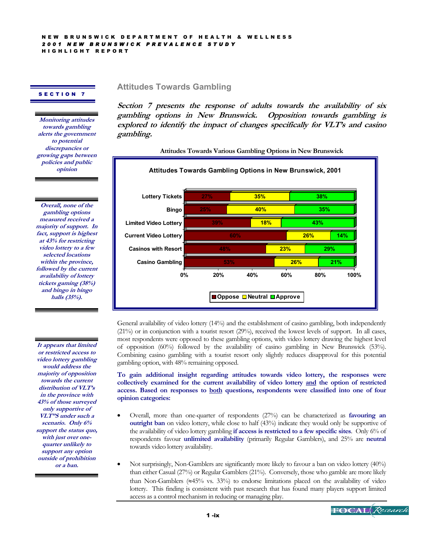#### SECTION 7

**Monitoring attitudes towards gambling alerts the government to potential discrepancies or growing gaps between policies and public opinion** 

**Overall, none of the gambling options measured received a majority of support. In fact, support is highest at 43% for restricting video lottery to a few selected locations within the province, followed by the current availability of lottery tickets gaming (38%) and bingo in bingo halls (35%).** 

**It appears that limited or restricted access to video lottery gambling would address the majority of opposition towards the current distribution of VLT's in the province with 43% of those surveyed only supportive of VLT"S under such a scenario. Only 6% support the status quo, with just over onequarter unlikely to support any option outside of prohibition or a ban.** 

**Attitudes Towards Gambling**

**Section 7 presents the response of adults towards the availability of six gambling options in New Brunswick. Opposition towards gambling is explored to identify the impact of changes specifically for VLT's and casino gambling.** 

**Attitudes Towards Various Gambling Options in New Brunswick** 



General availability of video lottery (14%) and the establishment of casino gambling, both independently (21%) or in conjunction with a tourist resort (29%), received the lowest levels of support. In all cases, most respondents were opposed to these gambling options, with video lottery drawing the highest level of opposition (60%) followed by the availability of casino gambling in New Brunswick (53%). Combining casino gambling with a tourist resort only slightly reduces disapproval for this potential gambling option, with 48% remaining opposed.

**To gain additional insight regarding attitudes towards video lottery, the responses were collectively examined for the current availability of video lottery and the option of restricted access. Based on responses to both questions, respondents were classified into one of four opinion categories:** 

- Overall, more than one-quarter of respondents (27%) can be characterized as **favouring an outright ban** on video lottery, while close to half (43%) indicate they would only be supportive of the availability of video lottery gambling **if access is restricted to a few specific sites**. Only 6% of respondents favour **unlimited availability** (primarily Regular Gamblers), and 25% are **neutral**  towards video lottery availability.
- Not surprisingly, Non-Gamblers are significantly more likely to favour a ban on video lottery (40%) than either Casual (27%) or Regular Gamblers (21%). Conversely, those who gamble are more likely than Non-Gamblers ( $\approx$ 45% vs. 33%) to endorse limitations placed on the availability of video lottery. This finding is consistent with past research that has found many players support limited access as a control mechanism in reducing or managing play.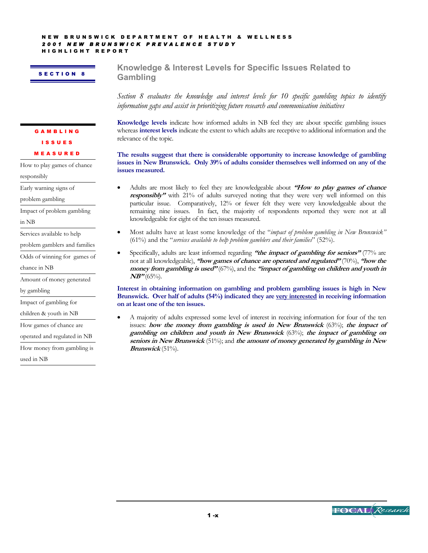HIGHLIGHT REPORT

#### SECTION 8

**Knowledge & Interest Levels for Specific Issues Related to Gambling**

*Section 8 evaluates the knowledge and interest levels for 10 specific gambling topics to identify information gaps and assist in prioritizing future research and communication initiatives* 

**Knowledge levels** indicate how informed adults in NB feel they are about specific gambling issues whereas **interest levels** indicate the extent to which adults are receptive to additional information and the relevance of the topic.

**The results suggest that there is considerable opportunity to increase knowledge of gambling issues in New Brunswick. Only 39% of adults consider themselves well informed on any of the issues measured.** 

- Adults are most likely to feel they are knowledgeable about **"How to play games of chance responsibly"** with 21% of adults surveyed noting that they were very well informed on this particular issue. Comparatively, 12% or fewer felt they were very knowledgeable about the remaining nine issues. In fact, the majority of respondents reported they were not at all knowledgeable for eight of the ten issues measured.
- Most adults have at least some knowledge of the "*impact of problem gambling in New Brunswick"* (61%) and the "*services available to help problem gamblers and their families*" (52%).
- Specifically, adults are least informed regarding **"the impact of gambling for seniors"** (77% are not at all knowledgeable), **"how games of chance are operated and regulated"** (70%), **"how the money from gambling is used"** (67%), and the **"impact of gambling on children and youth in NB"** (65%).

**Interest in obtaining information on gambling and problem gambling issues is high in New**  Brunswick. Over half of adults (54%) indicated they are <u>very interested</u> in receiving information **on at least one of the ten issues.** 

• A majority of adults expressed some level of interest in receiving information for four of the ten issues: **how the money from gambling is used in New Brunswick** (63%); **the impact of gambling on children and youth in New Brunswick** (63%); **the impact of gambling on seniors in New Brunswick** (51%); and **the amount of money generated by gambling in New Brunswick** (51%).

MEASURED

How to play games of chance

GAMBLING ISSUES

responsibly

Early warning signs of

problem gambling

Impact of problem gambling

in NB

Services available to help

problem gamblers and families

Odds of winning for games of

chance in NB

Amount of money generated

by gambling

Impact of gambling for

children & youth in NB

How games of chance are

operated and regulated in NB

How money from gambling is

used in NB